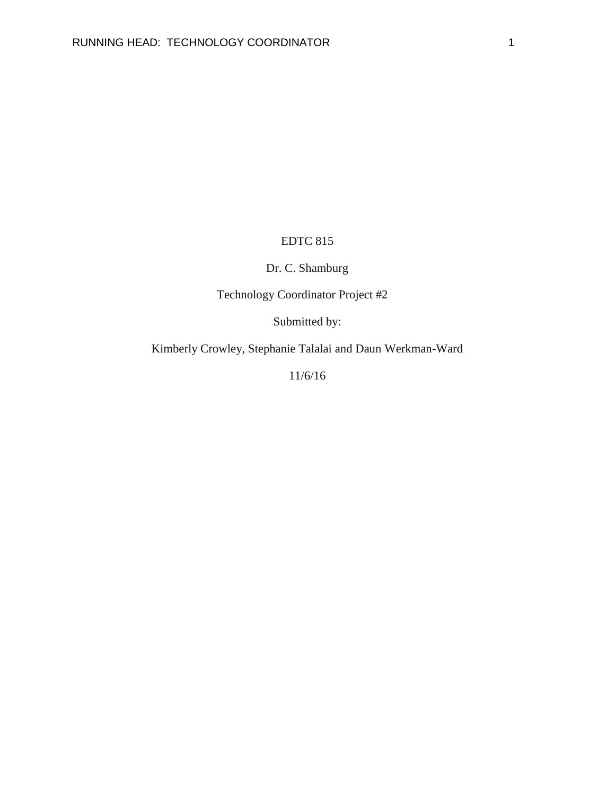## EDTC 815

## Dr. C. Shamburg

# Technology Coordinator Project #2

Submitted by:

Kimberly Crowley, Stephanie Talalai and Daun Werkman-Ward

11/6/16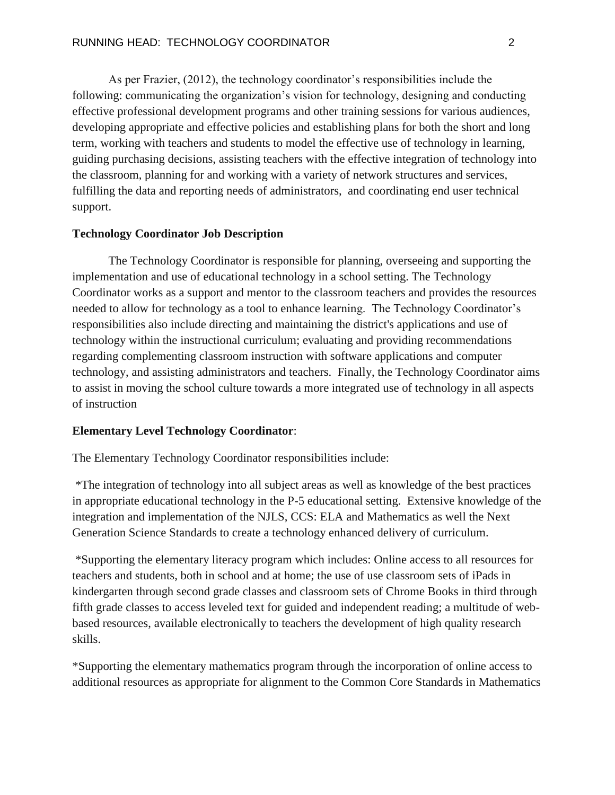As per Frazier, (2012), the technology coordinator's responsibilities include the following: communicating the organization's vision for technology, designing and conducting effective professional development programs and other training sessions for various audiences, developing appropriate and effective policies and establishing plans for both the short and long term, working with teachers and students to model the effective use of technology in learning, guiding purchasing decisions, assisting teachers with the effective integration of technology into the classroom, planning for and working with a variety of network structures and services, fulfilling the data and reporting needs of administrators, and coordinating end user technical support.

#### **Technology Coordinator Job Description**

The Technology Coordinator is responsible for planning, overseeing and supporting the implementation and use of educational technology in a school setting. The Technology Coordinator works as a support and mentor to the classroom teachers and provides the resources needed to allow for technology as a tool to enhance learning. The Technology Coordinator's responsibilities also include directing and maintaining the district's applications and use of technology within the instructional curriculum; evaluating and providing recommendations regarding complementing classroom instruction with software applications and computer technology, and assisting administrators and teachers. Finally, the Technology Coordinator aims to assist in moving the school culture towards a more integrated use of technology in all aspects of instruction

#### **Elementary Level Technology Coordinator**:

The Elementary Technology Coordinator responsibilities include:

\*The integration of technology into all subject areas as well as knowledge of the best practices in appropriate educational technology in the P-5 educational setting. Extensive knowledge of the integration and implementation of the NJLS, CCS: ELA and Mathematics as well the Next Generation Science Standards to create a technology enhanced delivery of curriculum.

\*Supporting the elementary literacy program which includes: Online access to all resources for teachers and students, both in school and at home; the use of use classroom sets of iPads in kindergarten through second grade classes and classroom sets of Chrome Books in third through fifth grade classes to access leveled text for guided and independent reading; a multitude of webbased resources, available electronically to teachers the development of high quality research skills.

\*Supporting the elementary mathematics program through the incorporation of online access to additional resources as appropriate for alignment to the Common Core Standards in Mathematics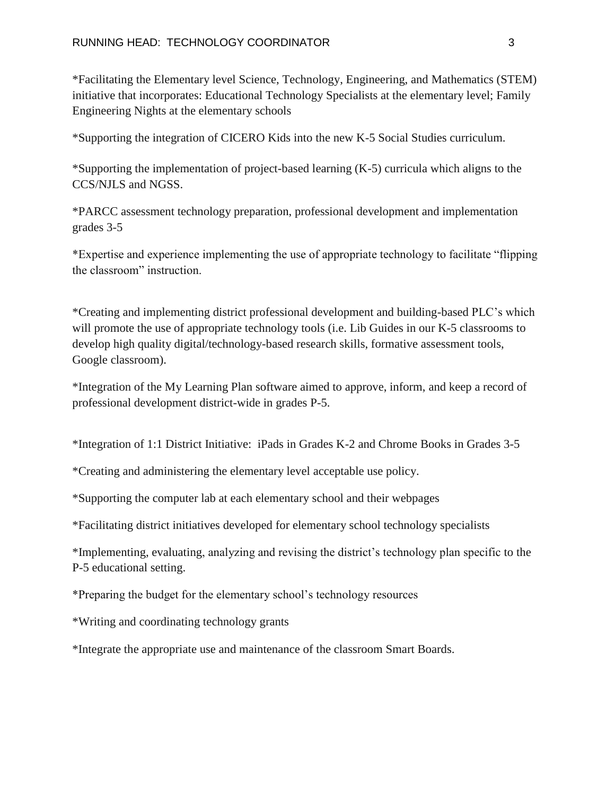\*Facilitating the Elementary level Science, Technology, Engineering, and Mathematics (STEM) initiative that incorporates: Educational Technology Specialists at the elementary level; Family Engineering Nights at the elementary schools

\*Supporting the integration of CICERO Kids into the new K-5 Social Studies curriculum.

\*Supporting the implementation of project-based learning (K-5) curricula which aligns to the CCS/NJLS and NGSS.

\*PARCC assessment technology preparation, professional development and implementation grades 3-5

\*Expertise and experience implementing the use of appropriate technology to facilitate "flipping the classroom" instruction.

\*Creating and implementing district professional development and building-based PLC's which will promote the use of appropriate technology tools (i.e. Lib Guides in our K-5 classrooms to develop high quality digital/technology-based research skills, formative assessment tools, Google classroom).

\*Integration of the My Learning Plan software aimed to approve, inform, and keep a record of professional development district-wide in grades P-5.

\*Integration of 1:1 District Initiative: iPads in Grades K-2 and Chrome Books in Grades 3-5

\*Creating and administering the elementary level acceptable use policy.

\*Supporting the computer lab at each elementary school and their webpages

\*Facilitating district initiatives developed for elementary school technology specialists

\*Implementing, evaluating, analyzing and revising the district's technology plan specific to the P-5 educational setting.

\*Preparing the budget for the elementary school's technology resources

\*Writing and coordinating technology grants

\*Integrate the appropriate use and maintenance of the classroom Smart Boards.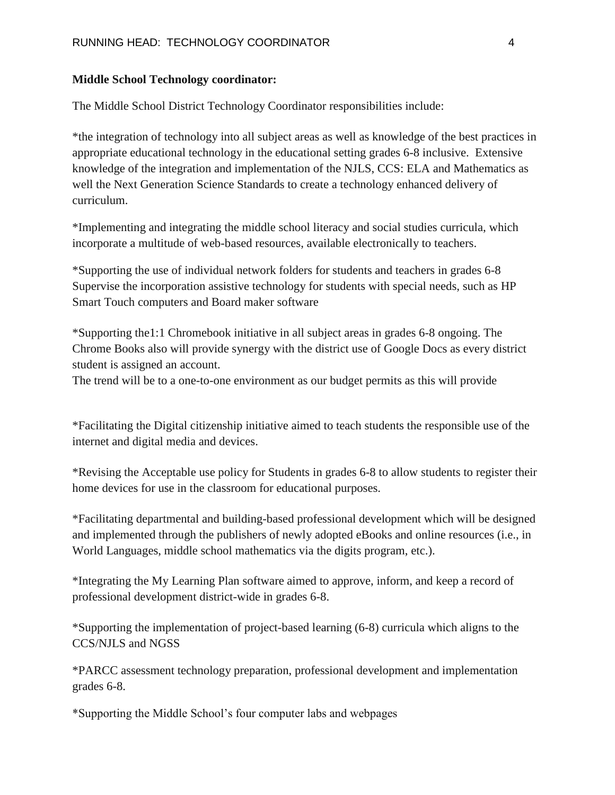#### **Middle School Technology coordinator:**

The Middle School District Technology Coordinator responsibilities include:

\*the integration of technology into all subject areas as well as knowledge of the best practices in appropriate educational technology in the educational setting grades 6-8 inclusive. Extensive knowledge of the integration and implementation of the NJLS, CCS: ELA and Mathematics as well the Next Generation Science Standards to create a technology enhanced delivery of curriculum.

\*Implementing and integrating the middle school literacy and social studies curricula, which incorporate a multitude of web-based resources, available electronically to teachers.

\*Supporting the use of individual network folders for students and teachers in grades 6-8 Supervise the incorporation assistive technology for students with special needs, such as HP Smart Touch computers and Board maker software

\*Supporting the1:1 Chromebook initiative in all subject areas in grades 6-8 ongoing. The Chrome Books also will provide synergy with the district use of Google Docs as every district student is assigned an account.

The trend will be to a one-to-one environment as our budget permits as this will provide

\*Facilitating the Digital citizenship initiative aimed to teach students the responsible use of the internet and digital media and devices.

\*Revising the Acceptable use policy for Students in grades 6-8 to allow students to register their home devices for use in the classroom for educational purposes.

\*Facilitating departmental and building-based professional development which will be designed and implemented through the publishers of newly adopted eBooks and online resources (i.e., in World Languages, middle school mathematics via the digits program, etc.).

\*Integrating the My Learning Plan software aimed to approve, inform, and keep a record of professional development district-wide in grades 6-8.

\*Supporting the implementation of project-based learning (6-8) curricula which aligns to the CCS/NJLS and NGSS

\*PARCC assessment technology preparation, professional development and implementation grades 6-8.

\*Supporting the Middle School's four computer labs and webpages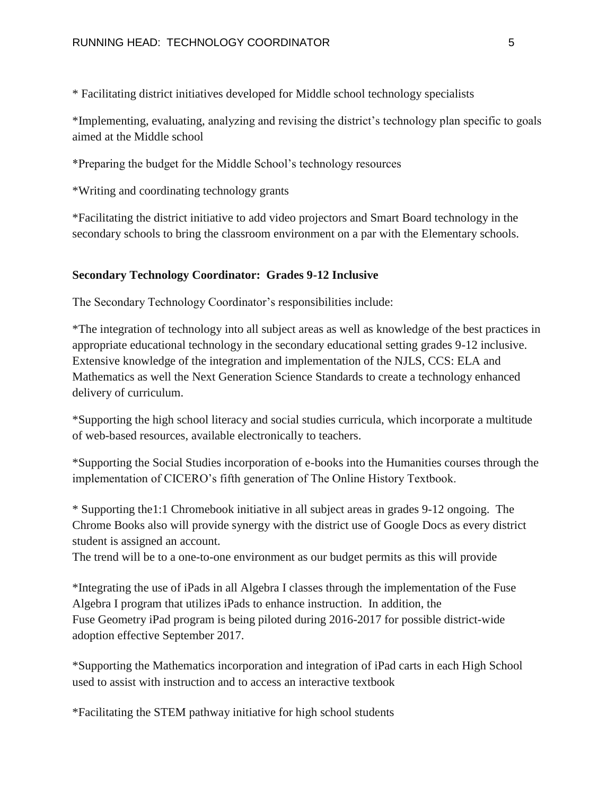\* Facilitating district initiatives developed for Middle school technology specialists

\*Implementing, evaluating, analyzing and revising the district's technology plan specific to goals aimed at the Middle school

\*Preparing the budget for the Middle School's technology resources

\*Writing and coordinating technology grants

\*Facilitating the district initiative to add video projectors and Smart Board technology in the secondary schools to bring the classroom environment on a par with the Elementary schools.

#### **Secondary Technology Coordinator: Grades 9-12 Inclusive**

The Secondary Technology Coordinator's responsibilities include:

\*The integration of technology into all subject areas as well as knowledge of the best practices in appropriate educational technology in the secondary educational setting grades 9-12 inclusive. Extensive knowledge of the integration and implementation of the NJLS, CCS: ELA and Mathematics as well the Next Generation Science Standards to create a technology enhanced delivery of curriculum.

\*Supporting the high school literacy and social studies curricula, which incorporate a multitude of web-based resources, available electronically to teachers.

\*Supporting the Social Studies incorporation of e-books into the Humanities courses through the implementation of CICERO's fifth generation of The Online History Textbook.

\* Supporting the1:1 Chromebook initiative in all subject areas in grades 9-12 ongoing. The Chrome Books also will provide synergy with the district use of Google Docs as every district student is assigned an account.

The trend will be to a one-to-one environment as our budget permits as this will provide

\*Integrating the use of iPads in all Algebra I classes through the implementation of the Fuse Algebra I program that utilizes iPads to enhance instruction. In addition, the Fuse Geometry iPad program is being piloted during 2016-2017 for possible district-wide adoption effective September 2017.

\*Supporting the Mathematics incorporation and integration of iPad carts in each High School used to assist with instruction and to access an interactive textbook

\*Facilitating the STEM pathway initiative for high school students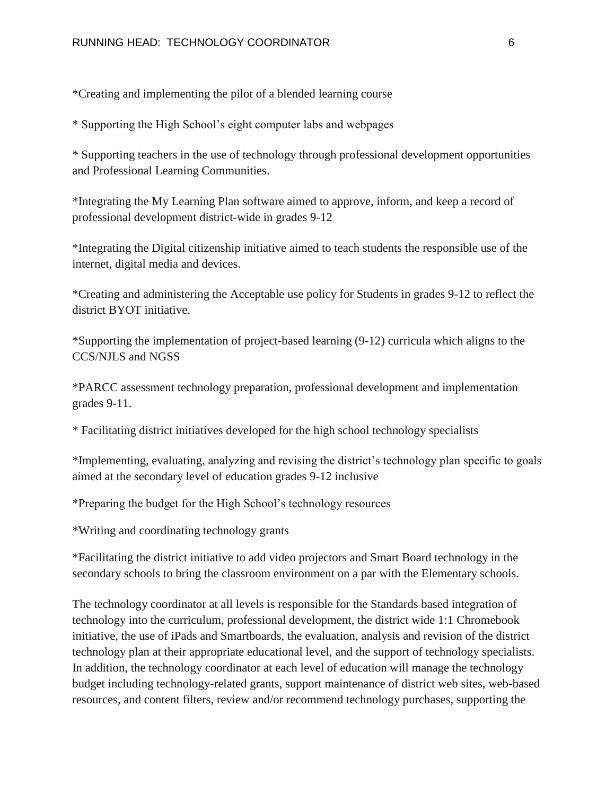\*Creating and implementing the pilot of a blended learning course

\* Supporting the High School's eight computer labs and webpages

\* Supporting teachers in the use of technology through professional development opportunities and Professional Learning Communities.

\*Integrating the My Learning Plan software aimed to approve, inform, and keep a record of professional development district-wide in grades 9-12

\*Integrating the Digital citizenship initiative aimed to teach students the responsible use of the internet, digital media and devices.

\*Creating and administering the Acceptable use policy for Students in grades 9-12 to reflect the district BYOT initiative.

\*Supporting the implementation of project-based learning (9-12) curricula which aligns to the CCS/NJLS and NGSS

\*PARCC assessment technology preparation, professional development and implementation grades 9-11.

\* Facilitating district initiatives developed for the high school technology specialists

\*Implementing, evaluating, analyzing and revising the district's technology plan specific to goals aimed at the secondary level of education grades 9-12 inclusive

\*Preparing the budget for the High School's technology resources

\*Writing and coordinating technology grants

\*Facilitating the district initiative to add video projectors and Smart Board technology in the secondary schools to bring the classroom environment on a par with the Elementary schools.

The technology coordinator at all levels is responsible for the Standards based integration of technology into the curriculum, professional development, the district wide 1:1 Chromebook initiative, the use of iPads and Smartboards, the evaluation, analysis and revision of the district technology plan at their appropriate educational level, and the support of technology specialists. In addition, the technology coordinator at each level of education will manage the technology budget including technology-related grants, support maintenance of district web sites, web-based resources, and content filters, review and/or recommend technology purchases, supporting the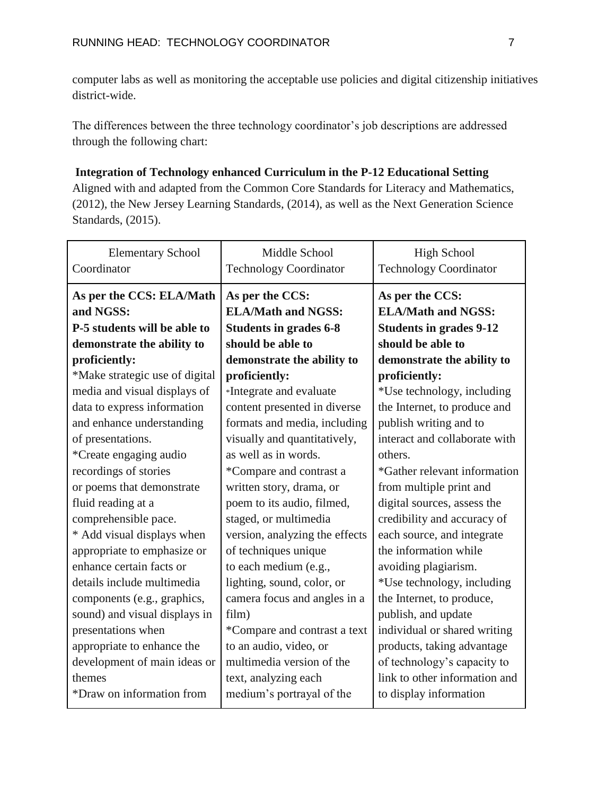computer labs as well as monitoring the acceptable use policies and digital citizenship initiatives district-wide.

The differences between the three technology coordinator's job descriptions are addressed through the following chart:

## **Integration of Technology enhanced Curriculum in the P-12 Educational Setting**

Aligned with and adapted from the Common Core Standards for Literacy and Mathematics, (2012), the New Jersey Learning Standards, (2014), as well as the Next Generation Science Standards, (2015).

| <b>Elementary School</b><br>Coordinator                               | Middle School<br><b>Technology Coordinator</b>                                | <b>High School</b><br><b>Technology Coordinator</b>                            |
|-----------------------------------------------------------------------|-------------------------------------------------------------------------------|--------------------------------------------------------------------------------|
| As per the CCS: ELA/Math<br>and NGSS:<br>P-5 students will be able to | As per the CCS:<br><b>ELA/Math and NGSS:</b><br><b>Students in grades 6-8</b> | As per the CCS:<br><b>ELA/Math and NGSS:</b><br><b>Students in grades 9-12</b> |
| demonstrate the ability to                                            | should be able to                                                             | should be able to                                                              |
| proficiently:                                                         | demonstrate the ability to                                                    | demonstrate the ability to                                                     |
| *Make strategic use of digital                                        | proficiently:                                                                 | proficiently:                                                                  |
| media and visual displays of                                          | *Integrate and evaluate                                                       | *Use technology, including                                                     |
| data to express information                                           | content presented in diverse                                                  | the Internet, to produce and                                                   |
| and enhance understanding                                             | formats and media, including                                                  | publish writing and to                                                         |
| of presentations.                                                     | visually and quantitatively,                                                  | interact and collaborate with                                                  |
| *Create engaging audio                                                | as well as in words.                                                          | others.                                                                        |
| recordings of stories                                                 | *Compare and contrast a                                                       | *Gather relevant information                                                   |
| or poems that demonstrate                                             | written story, drama, or                                                      | from multiple print and                                                        |
| fluid reading at a                                                    | poem to its audio, filmed,                                                    | digital sources, assess the                                                    |
| comprehensible pace.                                                  | staged, or multimedia                                                         | credibility and accuracy of                                                    |
| * Add visual displays when                                            | version, analyzing the effects                                                | each source, and integrate                                                     |
| appropriate to emphasize or                                           | of techniques unique                                                          | the information while                                                          |
| enhance certain facts or                                              | to each medium (e.g.,                                                         | avoiding plagiarism.                                                           |
| details include multimedia                                            | lighting, sound, color, or                                                    | *Use technology, including                                                     |
| components (e.g., graphics,                                           | camera focus and angles in a                                                  | the Internet, to produce,                                                      |
| sound) and visual displays in                                         | film)                                                                         | publish, and update                                                            |
| presentations when                                                    | *Compare and contrast a text                                                  | individual or shared writing                                                   |
| appropriate to enhance the                                            | to an audio, video, or                                                        | products, taking advantage                                                     |
| development of main ideas or                                          | multimedia version of the                                                     | of technology's capacity to                                                    |
| themes                                                                | text, analyzing each                                                          | link to other information and                                                  |
| *Draw on information from                                             | medium's portrayal of the                                                     | to display information                                                         |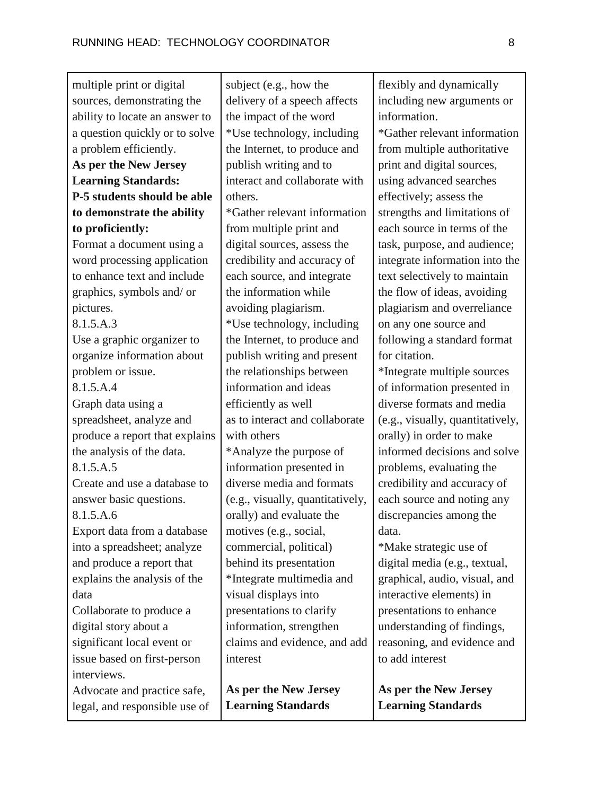| multiple print or digital                                                                        | subject (e.g., how the                                                                                      | flexibly and dynamically                                                                                             |
|--------------------------------------------------------------------------------------------------|-------------------------------------------------------------------------------------------------------------|----------------------------------------------------------------------------------------------------------------------|
| sources, demonstrating the                                                                       | delivery of a speech affects                                                                                | including new arguments or                                                                                           |
| ability to locate an answer to                                                                   | the impact of the word                                                                                      | information.                                                                                                         |
| a question quickly or to solve                                                                   | *Use technology, including                                                                                  | *Gather relevant information                                                                                         |
| a problem efficiently.                                                                           | the Internet, to produce and                                                                                | from multiple authoritative                                                                                          |
| As per the New Jersey                                                                            | publish writing and to                                                                                      | print and digital sources,                                                                                           |
| <b>Learning Standards:</b>                                                                       | interact and collaborate with                                                                               | using advanced searches                                                                                              |
| P-5 students should be able                                                                      | others.                                                                                                     | effectively; assess the                                                                                              |
| to demonstrate the ability                                                                       | *Gather relevant information                                                                                | strengths and limitations of                                                                                         |
| to proficiently:                                                                                 | from multiple print and                                                                                     | each source in terms of the                                                                                          |
| Format a document using a                                                                        | digital sources, assess the                                                                                 | task, purpose, and audience;                                                                                         |
| word processing application                                                                      | credibility and accuracy of                                                                                 | integrate information into the                                                                                       |
| to enhance text and include                                                                      | each source, and integrate                                                                                  | text selectively to maintain                                                                                         |
| graphics, symbols and/ or                                                                        | the information while                                                                                       | the flow of ideas, avoiding                                                                                          |
| pictures.                                                                                        | avoiding plagiarism.                                                                                        | plagiarism and overreliance                                                                                          |
| 8.1.5.A.3                                                                                        | *Use technology, including                                                                                  | on any one source and                                                                                                |
| Use a graphic organizer to                                                                       | the Internet, to produce and                                                                                | following a standard format                                                                                          |
| organize information about                                                                       | publish writing and present                                                                                 | for citation.                                                                                                        |
| problem or issue.                                                                                | the relationships between                                                                                   | *Integrate multiple sources                                                                                          |
| 8.1.5.A.4                                                                                        | information and ideas                                                                                       | of information presented in                                                                                          |
| Graph data using a                                                                               | efficiently as well                                                                                         | diverse formats and media                                                                                            |
| spreadsheet, analyze and                                                                         | as to interact and collaborate                                                                              | (e.g., visually, quantitatively,                                                                                     |
| produce a report that explains                                                                   | with others                                                                                                 | orally) in order to make                                                                                             |
| the analysis of the data.                                                                        | *Analyze the purpose of                                                                                     | informed decisions and solve                                                                                         |
| 8.1.5.A.5                                                                                        | information presented in                                                                                    | problems, evaluating the                                                                                             |
| Create and use a database to                                                                     | diverse media and formats                                                                                   | credibility and accuracy of                                                                                          |
| answer basic questions.                                                                          | (e.g., visually, quantitatively,                                                                            | each source and noting any                                                                                           |
| 8.1.5.A.6                                                                                        | orally) and evaluate the                                                                                    | discrepancies among the                                                                                              |
| Export data from a database                                                                      | motives (e.g., social,                                                                                      | data.                                                                                                                |
| into a spreadsheet; analyze<br>and produce a report that<br>explains the analysis of the<br>data | commercial, political)<br>behind its presentation<br>*Integrate multimedia and                              | *Make strategic use of<br>digital media (e.g., textual,<br>graphical, audio, visual, and<br>interactive elements) in |
| Collaborate to produce a<br>digital story about a<br>significant local event or                  | visual displays into<br>presentations to clarify<br>information, strengthen<br>claims and evidence, and add | presentations to enhance<br>understanding of findings,<br>reasoning, and evidence and                                |
| issue based on first-person<br>interviews.                                                       | interest                                                                                                    | to add interest                                                                                                      |
| Advocate and practice safe,                                                                      | As per the New Jersey                                                                                       | As per the New Jersey                                                                                                |
| legal, and responsible use of                                                                    | <b>Learning Standards</b>                                                                                   | <b>Learning Standards</b>                                                                                            |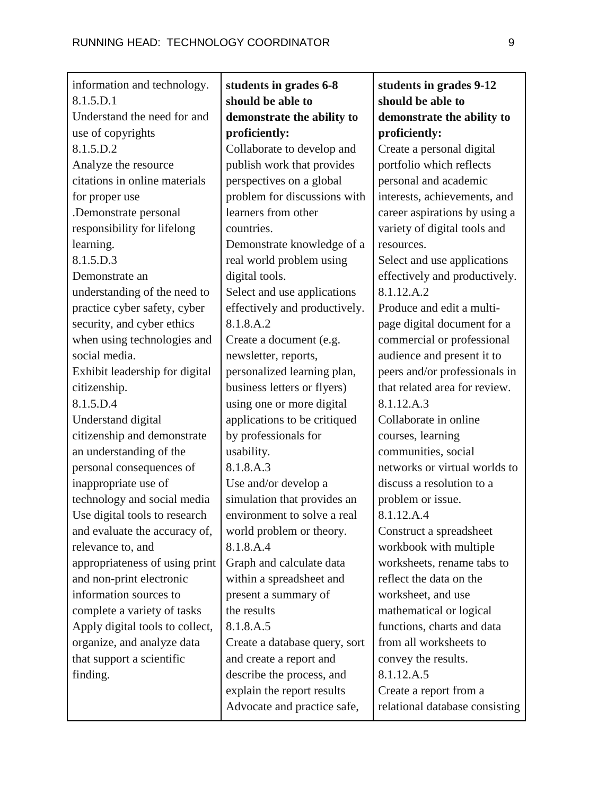| information and technology.     | students in grades 6-8        | students in grades 9-12        |
|---------------------------------|-------------------------------|--------------------------------|
| 8.1.5.D.1                       | should be able to             | should be able to              |
| Understand the need for and     | demonstrate the ability to    | demonstrate the ability to     |
| use of copyrights               | proficiently:                 | proficiently:                  |
| 8.1.5.D.2                       | Collaborate to develop and    | Create a personal digital      |
| Analyze the resource            | publish work that provides    | portfolio which reflects       |
| citations in online materials   | perspectives on a global      | personal and academic          |
| for proper use                  | problem for discussions with  | interests, achievements, and   |
| .Demonstrate personal           | learners from other           | career aspirations by using a  |
| responsibility for lifelong     | countries.                    | variety of digital tools and   |
| learning.                       | Demonstrate knowledge of a    | resources.                     |
| 8.1.5.D.3                       | real world problem using      | Select and use applications    |
| Demonstrate an                  | digital tools.                | effectively and productively.  |
| understanding of the need to    | Select and use applications   | 8.1.12.A.2                     |
| practice cyber safety, cyber    | effectively and productively. | Produce and edit a multi-      |
| security, and cyber ethics      | 8.1.8.A.2                     | page digital document for a    |
| when using technologies and     | Create a document (e.g.       | commercial or professional     |
| social media.                   | newsletter, reports,          | audience and present it to     |
| Exhibit leadership for digital  | personalized learning plan,   | peers and/or professionals in  |
| citizenship.                    | business letters or flyers)   | that related area for review.  |
| 8.1.5.D.4                       | using one or more digital     | 8.1.12.A.3                     |
| Understand digital              | applications to be critiqued  | Collaborate in online          |
| citizenship and demonstrate     | by professionals for          | courses, learning              |
| an understanding of the         | usability.                    | communities, social            |
| personal consequences of        | 8.1.8.A.3                     | networks or virtual worlds to  |
| inappropriate use of            | Use and/or develop a          | discuss a resolution to a      |
| technology and social media     | simulation that provides an   | problem or issue.              |
| Use digital tools to research   | environment to solve a real   | 8.1.12.A.4                     |
| and evaluate the accuracy of,   | world problem or theory.      | Construct a spreadsheet        |
| relevance to, and               | 8.1.8.A.4                     | workbook with multiple         |
| appropriateness of using print  | Graph and calculate data      | worksheets, rename tabs to     |
| and non-print electronic        | within a spreadsheet and      | reflect the data on the        |
| information sources to          | present a summary of          | worksheet, and use             |
| complete a variety of tasks     | the results                   | mathematical or logical        |
| Apply digital tools to collect, | 8.1.8.A.5                     | functions, charts and data     |
| organize, and analyze data      | Create a database query, sort | from all worksheets to         |
| that support a scientific       | and create a report and       | convey the results.            |
| finding.                        | describe the process, and     | 8.1.12.A.5                     |
|                                 | explain the report results    | Create a report from a         |
|                                 | Advocate and practice safe,   | relational database consisting |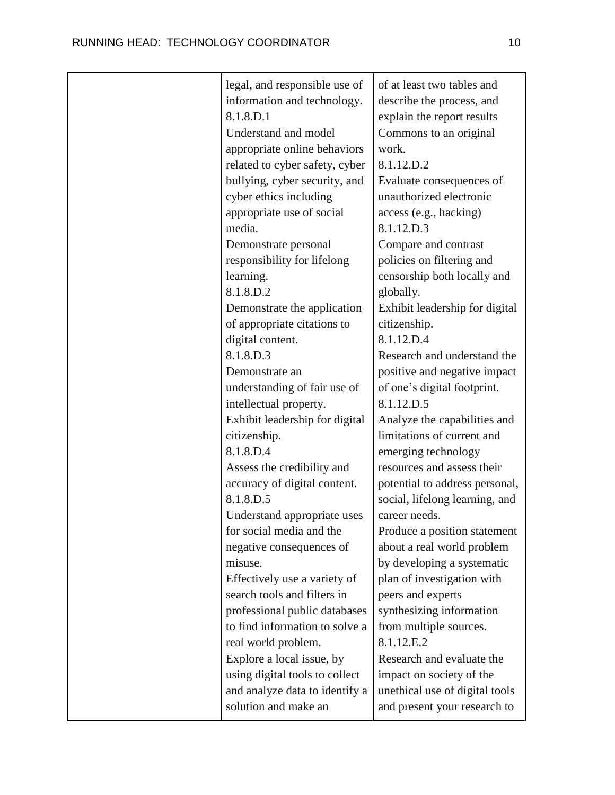| legal, and responsible use of  | of at least two tables and     |
|--------------------------------|--------------------------------|
| information and technology.    | describe the process, and      |
| 8.1.8.D.1                      | explain the report results     |
| Understand and model           | Commons to an original         |
| appropriate online behaviors   | work.                          |
| related to cyber safety, cyber | 8.1.12.D.2                     |
| bullying, cyber security, and  | Evaluate consequences of       |
| cyber ethics including         | unauthorized electronic        |
| appropriate use of social      | access (e.g., hacking)         |
| media.                         | 8.1.12.D.3                     |
| Demonstrate personal           | Compare and contrast           |
| responsibility for lifelong    | policies on filtering and      |
| learning.                      | censorship both locally and    |
| 8.1.8.D.2                      | globally.                      |
| Demonstrate the application    | Exhibit leadership for digital |
| of appropriate citations to    | citizenship.                   |
| digital content.               | 8.1.12.D.4                     |
| 8.1.8.D.3                      | Research and understand the    |
| Demonstrate an                 | positive and negative impact   |
| understanding of fair use of   | of one's digital footprint.    |
| intellectual property.         | 8.1.12.D.5                     |
| Exhibit leadership for digital | Analyze the capabilities and   |
| citizenship.                   | limitations of current and     |
| 8.1.8.D.4                      | emerging technology            |
| Assess the credibility and     | resources and assess their     |
| accuracy of digital content.   | potential to address personal, |
| 8.1.8.D.5                      | social, lifelong learning, and |
| Understand appropriate uses    | career needs.                  |
| for social media and the       | Produce a position statement   |
| negative consequences of       | about a real world problem     |
| misuse.                        | by developing a systematic     |
| Effectively use a variety of   | plan of investigation with     |
| search tools and filters in    | peers and experts              |
| professional public databases  | synthesizing information       |
| to find information to solve a | from multiple sources.         |
| real world problem.            | 8.1.12.E.2                     |
| Explore a local issue, by      | Research and evaluate the      |
| using digital tools to collect | impact on society of the       |
| and analyze data to identify a | unethical use of digital tools |
| solution and make an           | and present your research to   |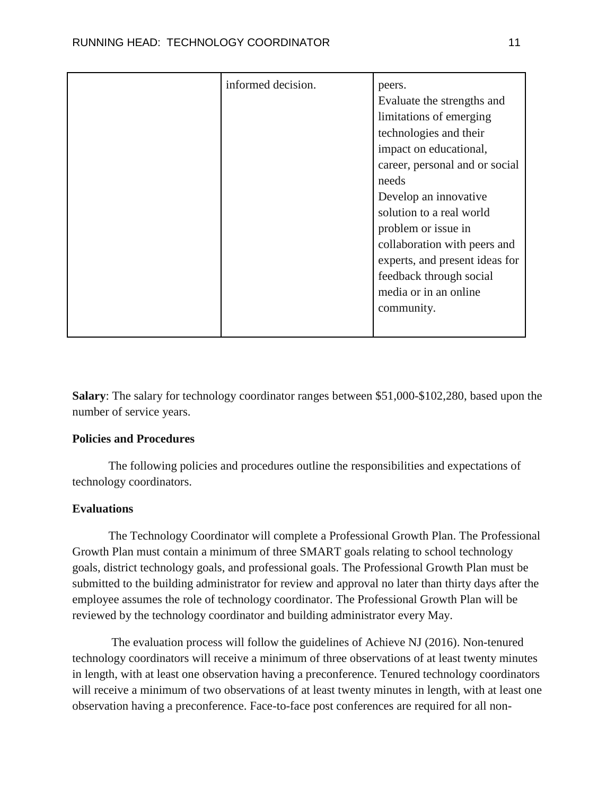| informed decision. | peers.<br>Evaluate the strengths and<br>limitations of emerging<br>technologies and their<br>impact on educational,<br>career, personal and or social<br>needs<br>Develop an innovative<br>solution to a real world<br>problem or issue in<br>collaboration with peers and<br>experts, and present ideas for<br>feedback through social<br>media or in an online<br>community. |
|--------------------|--------------------------------------------------------------------------------------------------------------------------------------------------------------------------------------------------------------------------------------------------------------------------------------------------------------------------------------------------------------------------------|
|                    |                                                                                                                                                                                                                                                                                                                                                                                |

**Salary**: The salary for technology coordinator ranges between \$51,000-\$102,280, based upon the number of service years.

## **Policies and Procedures**

The following policies and procedures outline the responsibilities and expectations of technology coordinators.

## **Evaluations**

The Technology Coordinator will complete a Professional Growth Plan. The Professional Growth Plan must contain a minimum of three SMART goals relating to school technology goals, district technology goals, and professional goals. The Professional Growth Plan must be submitted to the building administrator for review and approval no later than thirty days after the employee assumes the role of technology coordinator. The Professional Growth Plan will be reviewed by the technology coordinator and building administrator every May.

The evaluation process will follow the guidelines of Achieve NJ (2016). Non-tenured technology coordinators will receive a minimum of three observations of at least twenty minutes in length, with at least one observation having a preconference. Tenured technology coordinators will receive a minimum of two observations of at least twenty minutes in length, with at least one observation having a preconference. Face-to-face post conferences are required for all non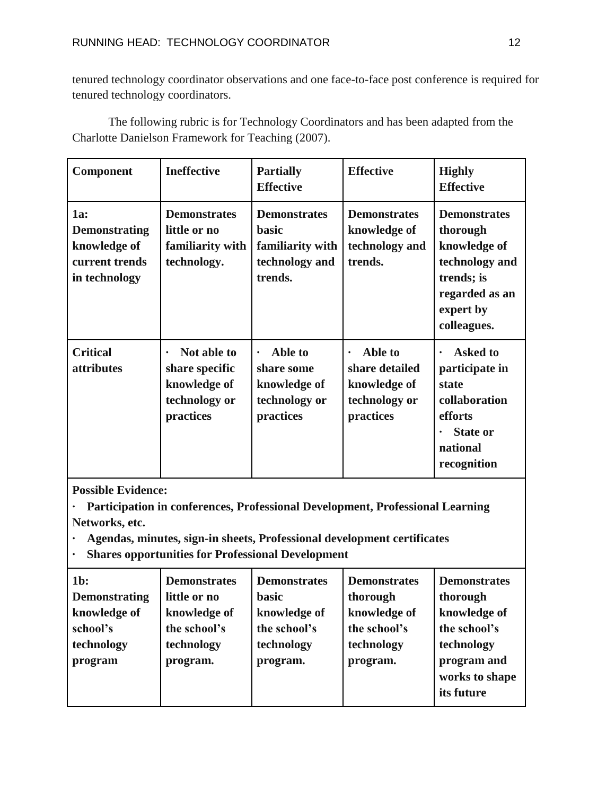tenured technology coordinator observations and one face-to-face post conference is required for tenured technology coordinators.

The following rubric is for Technology Coordinators and has been adapted from the Charlotte Danielson Framework for Teaching (2007).

| <b>Component</b>                                                               | <b>Ineffective</b>                                                                       | <b>Partially</b><br><b>Effective</b>                                                 | <b>Effective</b>                                                                     | <b>Highly</b><br><b>Effective</b>                                                                                                 |
|--------------------------------------------------------------------------------|------------------------------------------------------------------------------------------|--------------------------------------------------------------------------------------|--------------------------------------------------------------------------------------|-----------------------------------------------------------------------------------------------------------------------------------|
| 1a:<br><b>Demonstrating</b><br>knowledge of<br>current trends<br>in technology | <b>Demonstrates</b><br>little or no<br>familiarity with<br>technology.                   | <b>Demonstrates</b><br><b>basic</b><br>familiarity with<br>technology and<br>trends. | <b>Demonstrates</b><br>knowledge of<br>technology and<br>trends.                     | <b>Demonstrates</b><br>thorough<br>knowledge of<br>technology and<br>trends; is<br>regarded as an<br>expert by<br>colleagues.     |
| <b>Critical</b><br><i>attributes</i>                                           | Not able to<br>$\bullet$<br>share specific<br>knowledge of<br>technology or<br>practices | Able to<br>$\bullet$<br>share some<br>knowledge of<br>technology or<br>practices     | Able to<br>$\bullet$<br>share detailed<br>knowledge of<br>technology or<br>practices | <b>Asked to</b><br>$\bullet$<br>participate in<br>state<br>collaboration<br>efforts<br><b>State or</b><br>national<br>recognition |

**Possible Evidence:**

**· Participation in conferences, Professional Development, Professional Learning Networks, etc.**

**· Agendas, minutes, sign-in sheets, Professional development certificates**

**· Shares opportunities for Professional Development**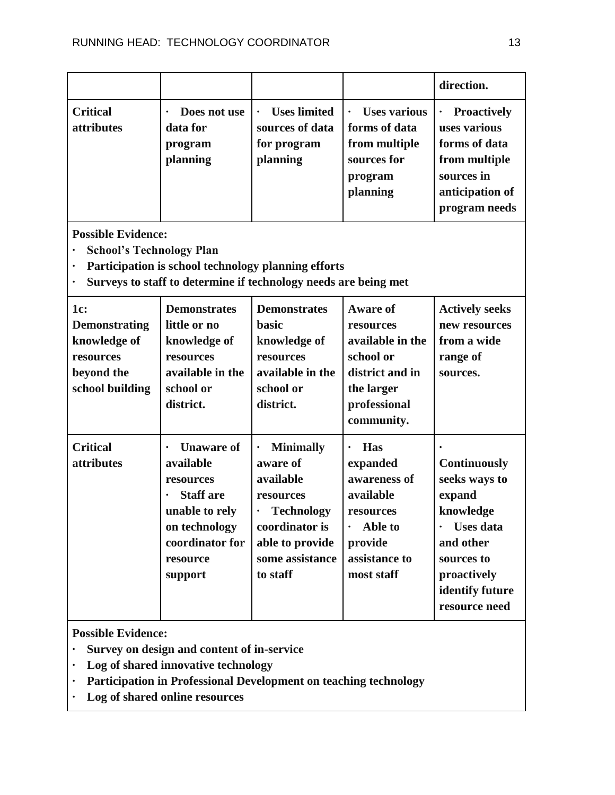|                                                                                           |                                                                                                                                                           |                                                                                                                                                      |                                                                                                                                                 | direction.                                                                                                                                                    |
|-------------------------------------------------------------------------------------------|-----------------------------------------------------------------------------------------------------------------------------------------------------------|------------------------------------------------------------------------------------------------------------------------------------------------------|-------------------------------------------------------------------------------------------------------------------------------------------------|---------------------------------------------------------------------------------------------------------------------------------------------------------------|
| <b>Critical</b><br>attributes                                                             | Does not use<br>$\bullet$<br>data for<br>program<br>planning                                                                                              | <b>Uses limited</b><br>sources of data<br>for program<br>planning                                                                                    | <b>Uses various</b><br>forms of data<br>from multiple<br>sources for<br>program<br>planning                                                     | <b>Proactively</b><br>uses various<br>forms of data<br>from multiple<br>sources in<br>anticipation of<br>program needs                                        |
| <b>Possible Evidence:</b><br><b>School's Technology Plan</b><br>$\bullet$<br>$\bullet$    |                                                                                                                                                           | Participation is school technology planning efforts<br>Surveys to staff to determine if technology needs are being met                               |                                                                                                                                                 |                                                                                                                                                               |
| 1c:<br><b>Demonstrating</b><br>knowledge of<br>resources<br>beyond the<br>school building | <b>Demonstrates</b><br>little or no<br>knowledge of<br>resources<br>available in the<br>school or<br>district.                                            | <b>Demonstrates</b><br><b>basic</b><br>knowledge of<br>resources<br>available in the<br>school or<br>district.                                       | <b>Aware of</b><br>resources<br>available in the<br>school or<br>district and in<br>the larger<br>professional<br>community.                    | <b>Actively seeks</b><br>new resources<br>from a wide<br>range of<br>sources.                                                                                 |
| <b>Critical</b><br>attributes                                                             | <b>Unaware of</b><br>$\bullet$<br>available<br>resources<br><b>Staff</b> are<br>unable to rely<br>on technology<br>coordinator for<br>resource<br>support | <b>Minimally</b><br>٠<br>aware of<br>available<br>resources<br><b>Technology</b><br>coordinator is<br>able to provide<br>some assistance<br>to staff | <b>Has</b><br>$\bullet$<br>expanded<br>awareness of<br>available<br>resources<br>Able to<br>$\bullet$<br>provide<br>assistance to<br>most staff | <b>Continuously</b><br>seeks ways to<br>expand<br>knowledge<br><b>Uses</b> data<br>and other<br>sources to<br>proactively<br>identify future<br>resource need |

- **· Survey on design and content of in-service**
- **· Log of shared innovative technology**
- **· Participation in Professional Development on teaching technology**
- **· Log of shared online resources**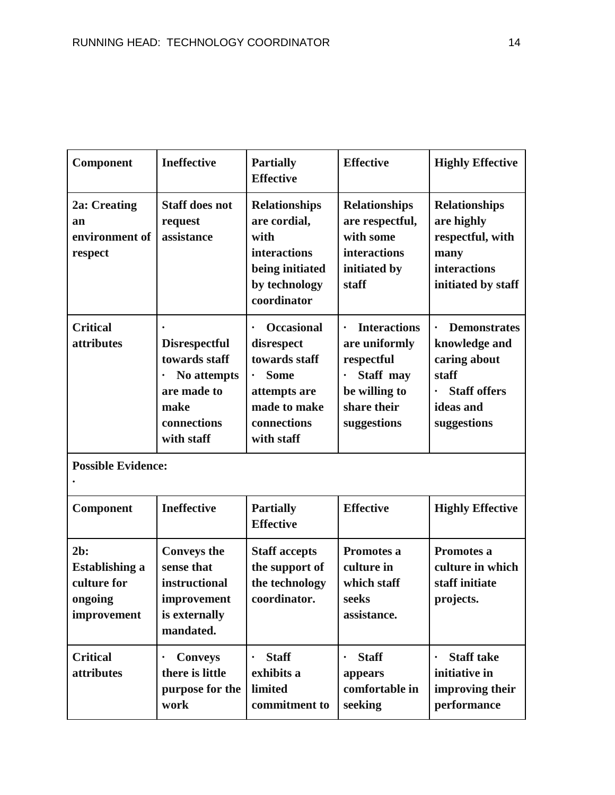| Component                                                                | <b>Ineffective</b>                                                                                                    | <b>Partially</b><br><b>Effective</b>                                                                                         | <b>Effective</b>                                                                                               | <b>Highly Effective</b>                                                                                          |
|--------------------------------------------------------------------------|-----------------------------------------------------------------------------------------------------------------------|------------------------------------------------------------------------------------------------------------------------------|----------------------------------------------------------------------------------------------------------------|------------------------------------------------------------------------------------------------------------------|
| 2a: Creating<br>an<br>environment of<br>respect                          | <b>Staff does not</b><br>request<br>assistance                                                                        | <b>Relationships</b><br>are cordial,<br>with<br><b>interactions</b><br>being initiated<br>by technology<br>coordinator       | <b>Relationships</b><br>are respectful,<br>with some<br>interactions<br>initiated by<br>staff                  | <b>Relationships</b><br>are highly<br>respectful, with<br>many<br>interactions<br>initiated by staff             |
| <b>Critical</b><br>attributes                                            | <b>Disrespectful</b><br>towards staff<br>No attempts<br>$\bullet$<br>are made to<br>make<br>connections<br>with staff | <b>Occasional</b><br>disrespect<br>towards staff<br><b>Some</b><br>attempts are<br>made to make<br>connections<br>with staff | <b>Interactions</b><br>are uniformly<br>respectful<br>Staff may<br>be willing to<br>share their<br>suggestions | <b>Demonstrates</b><br>knowledge and<br>caring about<br>staff<br><b>Staff offers</b><br>ideas and<br>suggestions |
| <b>Possible Evidence:</b>                                                |                                                                                                                       |                                                                                                                              |                                                                                                                |                                                                                                                  |
| Component                                                                | <b>Ineffective</b>                                                                                                    | <b>Partially</b><br><b>Effective</b>                                                                                         | <b>Effective</b>                                                                                               | <b>Highly Effective</b>                                                                                          |
| $2b$ :<br><b>Establishing a</b><br>culture for<br>ongoing<br>improvement | <b>Conveys the</b><br>sense that<br>instructional<br>improvement<br>is externally<br>mandated.                        | <b>Staff accepts</b><br>the support of<br>the technology<br>coordinator.                                                     | Promotes a<br>culture in<br>which staff<br>seeks<br>assistance.                                                | Promotes a<br>culture in which<br>staff initiate<br>projects.                                                    |
| <b>Critical</b><br>attributes                                            | <b>Conveys</b><br>$\bullet$<br>there is little<br>purpose for the<br>work                                             | <b>Staff</b><br>exhibits a<br>limited<br>commitment to                                                                       | <b>Staff</b><br>appears<br>comfortable in<br>seeking                                                           | <b>Staff take</b><br>initiative in<br>improving their<br>performance                                             |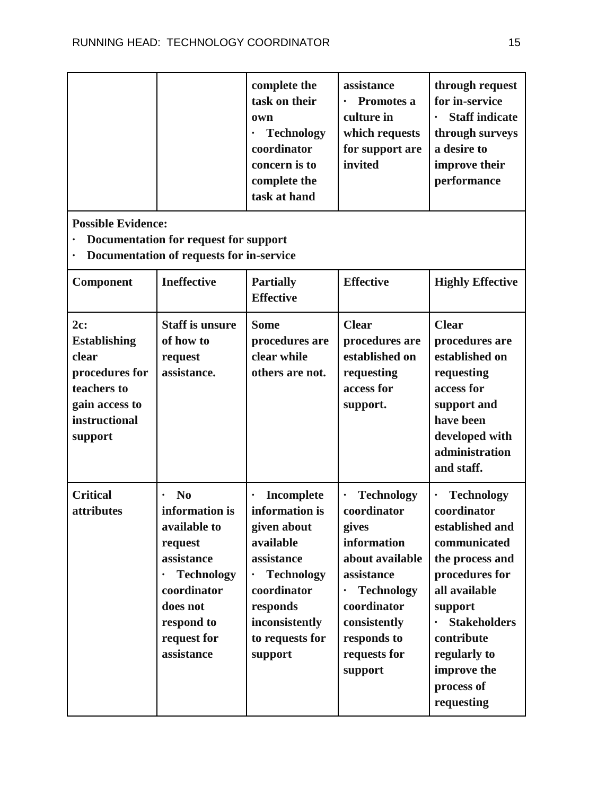|  | complete the<br>task on their<br>own<br><b>Technology</b><br>coordinator<br>concern is to<br>complete the<br>task at hand | assistance<br>Promotes a<br>$\bullet$<br>culture in<br>which requests<br>for support are<br>invited | through request<br>for in-service<br><b>Staff indicate</b><br>$\bullet$<br>through surveys<br>a desire to<br>improve their<br>performance |
|--|---------------------------------------------------------------------------------------------------------------------------|-----------------------------------------------------------------------------------------------------|-------------------------------------------------------------------------------------------------------------------------------------------|
|  |                                                                                                                           |                                                                                                     |                                                                                                                                           |

- **· Documentation for request for support**
- **· Documentation of requests for in-service**

| Component                                                                                                          | <b>Ineffective</b>                                                                                                                                                                | <b>Partially</b><br><b>Effective</b>                                                                                                                                                | <b>Effective</b>                                                                                                                                                                                     | <b>Highly Effective</b>                                                                                                                                                                                                              |
|--------------------------------------------------------------------------------------------------------------------|-----------------------------------------------------------------------------------------------------------------------------------------------------------------------------------|-------------------------------------------------------------------------------------------------------------------------------------------------------------------------------------|------------------------------------------------------------------------------------------------------------------------------------------------------------------------------------------------------|--------------------------------------------------------------------------------------------------------------------------------------------------------------------------------------------------------------------------------------|
| 2c:<br><b>Establishing</b><br>clear<br>procedures for<br>teachers to<br>gain access to<br>instructional<br>support | <b>Staff is unsure</b><br>of how to<br>request<br>assistance.                                                                                                                     | <b>Some</b><br>procedures are<br>clear while<br>others are not.                                                                                                                     | <b>Clear</b><br>procedures are<br>established on<br>requesting<br>access for<br>support.                                                                                                             | <b>Clear</b><br>procedures are<br>established on<br>requesting<br>access for<br>support and<br>have been<br>developed with<br>administration<br>and staff.                                                                           |
| <b>Critical</b><br>attributes                                                                                      | N <sub>0</sub><br>$\bullet$<br>information is<br>available to<br>request<br>assistance<br><b>Technology</b><br>coordinator<br>does not<br>respond to<br>request for<br>assistance | Incomplete<br>$\bullet$<br>information is<br>given about<br>available<br>assistance<br><b>Technology</b><br>coordinator<br>responds<br>inconsistently<br>to requests for<br>support | <b>Technology</b><br>$\bullet$<br>coordinator<br>gives<br>information<br>about available<br>assistance<br><b>Technology</b><br>coordinator<br>consistently<br>responds to<br>requests for<br>support | <b>Technology</b><br>coordinator<br>established and<br>communicated<br>the process and<br>procedures for<br>all available<br>support<br><b>Stakeholders</b><br>contribute<br>regularly to<br>improve the<br>process of<br>requesting |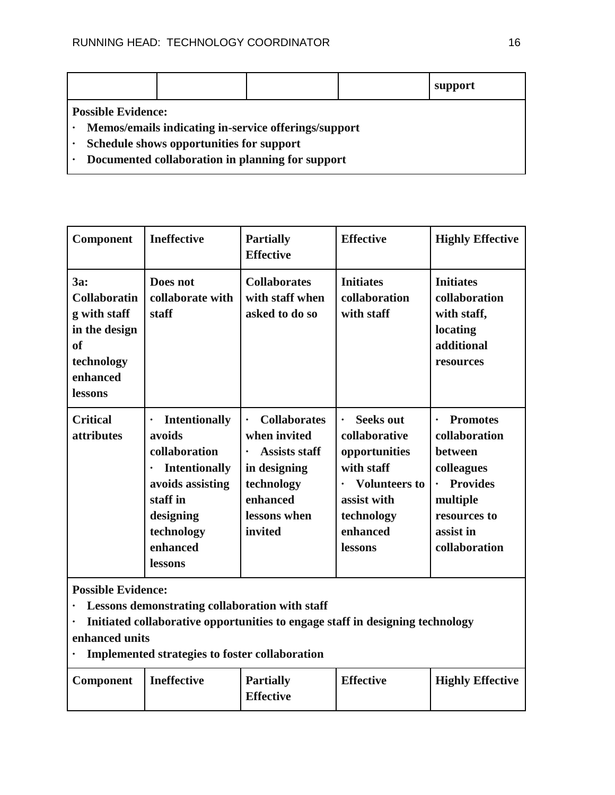|                           |                                          |                                                      | support |
|---------------------------|------------------------------------------|------------------------------------------------------|---------|
| <b>Possible Evidence:</b> |                                          |                                                      |         |
|                           |                                          | Memos/emails indicating in-service offerings/support |         |
|                           | Schedule shows opportunities for support |                                                      |         |

**· Documented collaboration in planning for support**

| <b>Component</b>                                                                                              | <b>Ineffective</b>                                                                                                                                                                  | <b>Partially</b><br><b>Effective</b>                                                                                                          | <b>Effective</b>                                                                                                                                    | <b>Highly Effective</b>                                                                                                                                          |
|---------------------------------------------------------------------------------------------------------------|-------------------------------------------------------------------------------------------------------------------------------------------------------------------------------------|-----------------------------------------------------------------------------------------------------------------------------------------------|-----------------------------------------------------------------------------------------------------------------------------------------------------|------------------------------------------------------------------------------------------------------------------------------------------------------------------|
| 3a:<br><b>Collaboratin</b><br>g with staff<br>in the design<br>of<br>technology<br>enhanced<br><b>lessons</b> | Does not<br>collaborate with<br>staff                                                                                                                                               | <b>Collaborates</b><br>with staff when<br>asked to do so                                                                                      | <b>Initiates</b><br>collaboration<br>with staff                                                                                                     | <b>Initiates</b><br>collaboration<br>with staff,<br>locating<br>additional<br>resources                                                                          |
| <b>Critical</b><br><i>attributes</i>                                                                          | <b>Intentionally</b><br>$\bullet$<br>avoids<br>collaboration<br><b>Intentionally</b><br>$\bullet$<br>avoids assisting<br>staff in<br>designing<br>technology<br>enhanced<br>lessons | <b>Collaborates</b><br>$\bullet$<br>when invited<br><b>Assists staff</b><br>in designing<br>technology<br>enhanced<br>lessons when<br>invited | <b>Seeks out</b><br>collaborative<br>opportunities<br>with staff<br><b>Volunteers to</b><br>assist with<br>technology<br>enhanced<br><b>lessons</b> | <b>Promotes</b><br>$\bullet$<br>collaboration<br>between<br>colleagues<br><b>Provides</b><br>$\bullet$<br>multiple<br>resources to<br>assist in<br>collaboration |

- **· Lessons demonstrating collaboration with staff**
- **· Initiated collaborative opportunities to engage staff in designing technology enhanced units**
- **· Implemented strategies to foster collaboration**

| <b>Component</b> | <b>Ineffective</b> | <b>Partially</b> | <b>Effective</b> | <b>Highly Effective</b> |
|------------------|--------------------|------------------|------------------|-------------------------|
|                  |                    | <b>Effective</b> |                  |                         |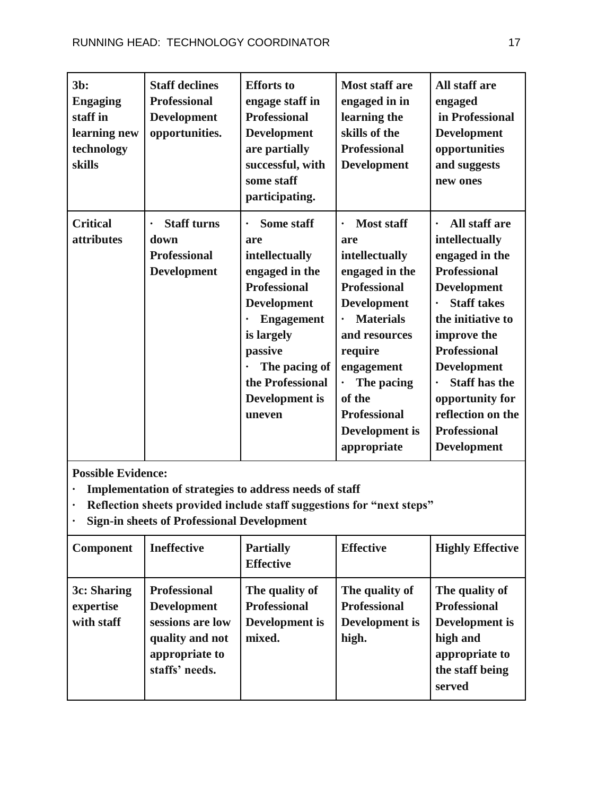| $3b$ :<br><b>Engaging</b><br>staff in<br>learning new<br>technology<br><b>skills</b> | <b>Staff declines</b><br><b>Professional</b><br><b>Development</b><br>opportunities. | <b>Efforts</b> to<br>engage staff in<br><b>Professional</b><br><b>Development</b><br>are partially<br>successful, with<br>some staff<br>participating.                                                                                | <b>Most staff are</b><br>engaged in in<br>learning the<br>skills of the<br><b>Professional</b><br><b>Development</b>                                                                                                                                                 | All staff are<br>engaged<br>in Professional<br><b>Development</b><br>opportunities<br>and suggests<br>new ones                                                                                                                                                                                                                  |
|--------------------------------------------------------------------------------------|--------------------------------------------------------------------------------------|---------------------------------------------------------------------------------------------------------------------------------------------------------------------------------------------------------------------------------------|----------------------------------------------------------------------------------------------------------------------------------------------------------------------------------------------------------------------------------------------------------------------|---------------------------------------------------------------------------------------------------------------------------------------------------------------------------------------------------------------------------------------------------------------------------------------------------------------------------------|
| <b>Critical</b><br>attributes                                                        | <b>Staff turns</b><br>$\bullet$<br>down<br><b>Professional</b><br><b>Development</b> | <b>Some staff</b><br>$\bullet$<br>are<br>intellectually<br>engaged in the<br><b>Professional</b><br><b>Development</b><br><b>Engagement</b><br>is largely<br>passive<br>The pacing of<br>the Professional<br>Development is<br>uneven | <b>Most staff</b><br>$\bullet$<br>are<br>intellectually<br>engaged in the<br><b>Professional</b><br><b>Development</b><br><b>Materials</b><br>and resources<br>require<br>engagement<br>The pacing<br>of the<br><b>Professional</b><br>Development is<br>appropriate | All staff are<br>$\bullet$<br>intellectually<br>engaged in the<br><b>Professional</b><br><b>Development</b><br><b>Staff takes</b><br>the initiative to<br>improve the<br><b>Professional</b><br><b>Development</b><br><b>Staff has the</b><br>opportunity for<br>reflection on the<br><b>Professional</b><br><b>Development</b> |

- **· Implementation of strategies to address needs of staff**
- **· Reflection sheets provided include staff suggestions for "next steps"**
- **· Sign-in sheets of Professional Development**

| <b>Component</b>                       | <b>Ineffective</b>                                                                                                   | <b>Partially</b><br><b>Effective</b>                              | <b>Effective</b>                                                 | <b>Highly Effective</b>                                                                                            |
|----------------------------------------|----------------------------------------------------------------------------------------------------------------------|-------------------------------------------------------------------|------------------------------------------------------------------|--------------------------------------------------------------------------------------------------------------------|
| 3c: Sharing<br>expertise<br>with staff | <b>Professional</b><br><b>Development</b><br>sessions are low<br>quality and not<br>appropriate to<br>staffs' needs. | The quality of<br><b>Professional</b><br>Development is<br>mixed. | The quality of<br><b>Professional</b><br>Development is<br>high. | The quality of<br><b>Professional</b><br>Development is<br>high and<br>appropriate to<br>the staff being<br>served |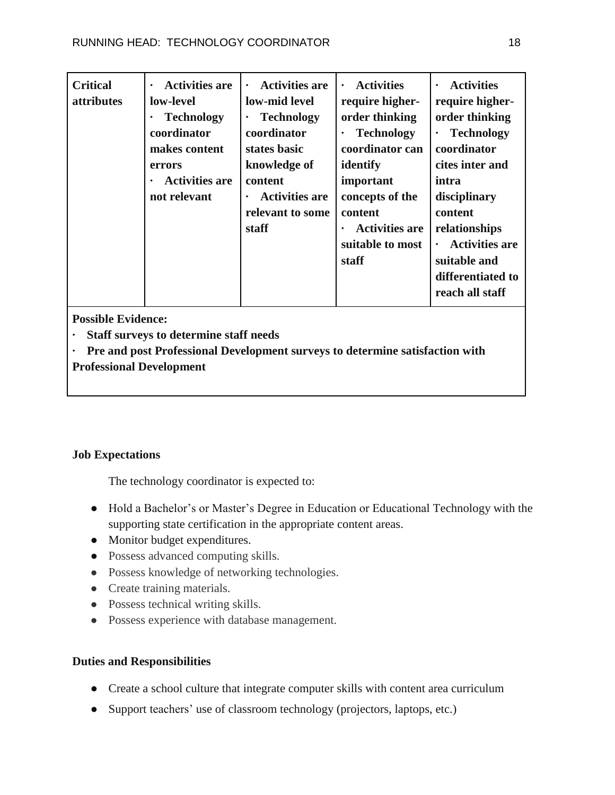**Possible Evidence:**

**· Staff surveys to determine staff needs**

**· Pre and post Professional Development surveys to determine satisfaction with Professional Development**

## **Job Expectations**

The technology coordinator is expected to:

- Hold a Bachelor's or Master's Degree in Education or Educational Technology with the supporting state certification in the appropriate content areas.
- Monitor budget expenditures.
- Possess advanced computing skills.
- Possess knowledge of networking technologies.
- Create training materials.
- Possess technical writing skills.
- Possess experience with database management.

## **Duties and Responsibilities**

- Create a school culture that integrate computer skills with content area curriculum
- Support teachers' use of classroom technology (projectors, laptops, etc.)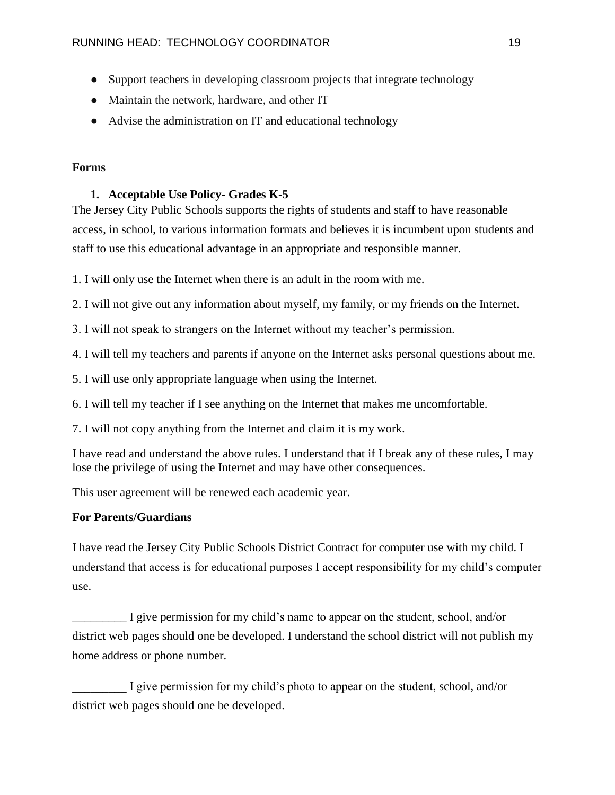- Support teachers in developing classroom projects that integrate technology
- Maintain the network, hardware, and other IT
- Advise the administration on IT and educational technology

#### **Forms**

#### **1. Acceptable Use Policy- Grades K-5**

The Jersey City Public Schools supports the rights of students and staff to have reasonable access, in school, to various information formats and believes it is incumbent upon students and staff to use this educational advantage in an appropriate and responsible manner.

1. I will only use the Internet when there is an adult in the room with me.

2. I will not give out any information about myself, my family, or my friends on the Internet.

3. I will not speak to strangers on the Internet without my teacher's permission.

4. I will tell my teachers and parents if anyone on the Internet asks personal questions about me.

5. I will use only appropriate language when using the Internet.

6. I will tell my teacher if I see anything on the Internet that makes me uncomfortable.

7. I will not copy anything from the Internet and claim it is my work.

I have read and understand the above rules. I understand that if I break any of these rules, I may lose the privilege of using the Internet and may have other consequences.

This user agreement will be renewed each academic year.

#### **For Parents/Guardians**

I have read the Jersey City Public Schools District Contract for computer use with my child. I understand that access is for educational purposes I accept responsibility for my child's computer use.

I give permission for my child's name to appear on the student, school, and/or district web pages should one be developed. I understand the school district will not publish my home address or phone number.

I give permission for my child's photo to appear on the student, school, and/or district web pages should one be developed.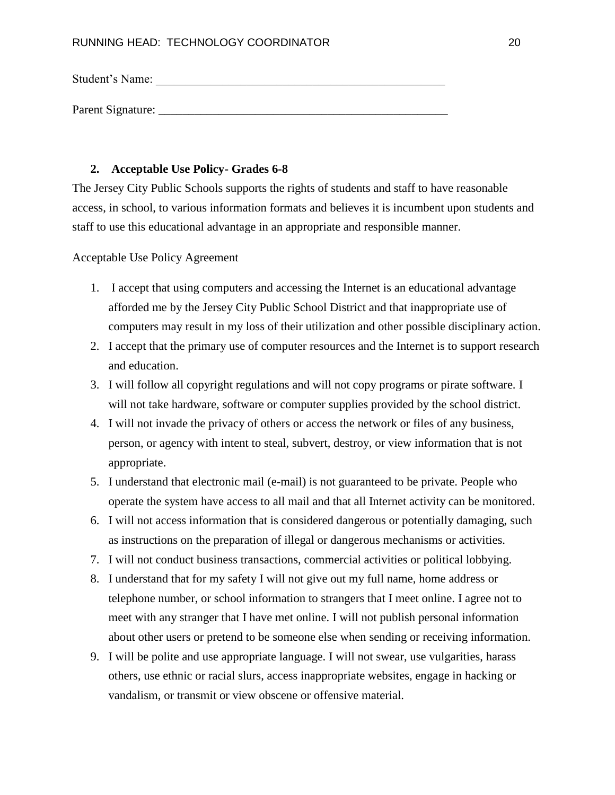Student's Name:

Parent Signature: \_\_\_\_\_\_\_\_\_\_\_\_\_\_\_\_\_\_\_\_\_\_\_\_\_\_\_\_\_\_\_\_\_\_\_\_\_\_\_\_\_\_\_\_\_\_\_\_

#### **2. Acceptable Use Policy- Grades 6-8**

The Jersey City Public Schools supports the rights of students and staff to have reasonable access, in school, to various information formats and believes it is incumbent upon students and staff to use this educational advantage in an appropriate and responsible manner.

Acceptable Use Policy Agreement

- 1. I accept that using computers and accessing the Internet is an educational advantage afforded me by the Jersey City Public School District and that inappropriate use of computers may result in my loss of their utilization and other possible disciplinary action.
- 2. I accept that the primary use of computer resources and the Internet is to support research and education.
- 3. I will follow all copyright regulations and will not copy programs or pirate software. I will not take hardware, software or computer supplies provided by the school district.
- 4. I will not invade the privacy of others or access the network or files of any business, person, or agency with intent to steal, subvert, destroy, or view information that is not appropriate.
- 5. I understand that electronic mail (e-mail) is not guaranteed to be private. People who operate the system have access to all mail and that all Internet activity can be monitored.
- 6. I will not access information that is considered dangerous or potentially damaging, such as instructions on the preparation of illegal or dangerous mechanisms or activities.
- 7. I will not conduct business transactions, commercial activities or political lobbying.
- 8. I understand that for my safety I will not give out my full name, home address or telephone number, or school information to strangers that I meet online. I agree not to meet with any stranger that I have met online. I will not publish personal information about other users or pretend to be someone else when sending or receiving information.
- 9. I will be polite and use appropriate language. I will not swear, use vulgarities, harass others, use ethnic or racial slurs, access inappropriate websites, engage in hacking or vandalism, or transmit or view obscene or offensive material.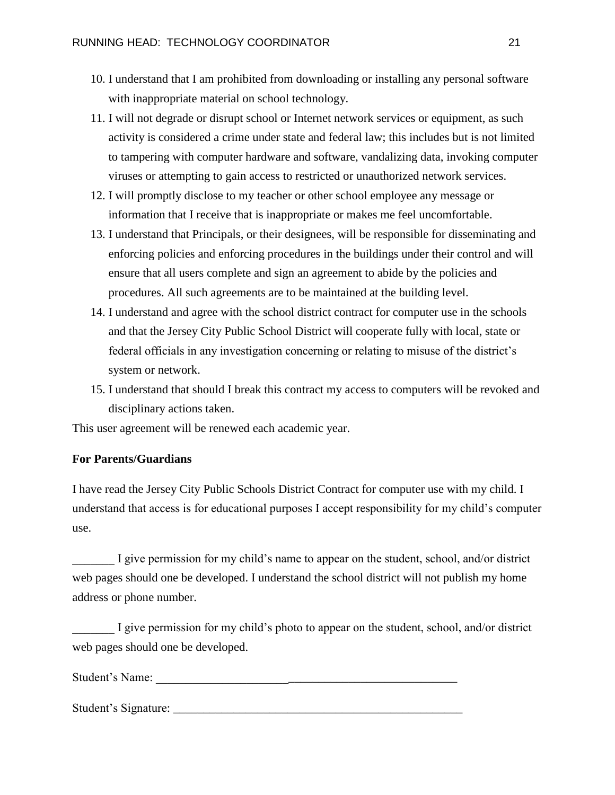- 10. I understand that I am prohibited from downloading or installing any personal software with inappropriate material on school technology.
- 11. I will not degrade or disrupt school or Internet network services or equipment, as such activity is considered a crime under state and federal law; this includes but is not limited to tampering with computer hardware and software, vandalizing data, invoking computer viruses or attempting to gain access to restricted or unauthorized network services.
- 12. I will promptly disclose to my teacher or other school employee any message or information that I receive that is inappropriate or makes me feel uncomfortable.
- 13. I understand that Principals, or their designees, will be responsible for disseminating and enforcing policies and enforcing procedures in the buildings under their control and will ensure that all users complete and sign an agreement to abide by the policies and procedures. All such agreements are to be maintained at the building level.
- 14. I understand and agree with the school district contract for computer use in the schools and that the Jersey City Public School District will cooperate fully with local, state or federal officials in any investigation concerning or relating to misuse of the district's system or network.
- 15. I understand that should I break this contract my access to computers will be revoked and disciplinary actions taken.

This user agreement will be renewed each academic year.

#### **For Parents/Guardians**

I have read the Jersey City Public Schools District Contract for computer use with my child. I understand that access is for educational purposes I accept responsibility for my child's computer use.

I give permission for my child's name to appear on the student, school, and/or district web pages should one be developed. I understand the school district will not publish my home address or phone number.

I give permission for my child's photo to appear on the student, school, and/or district web pages should one be developed.

Student's Name:

Student's Signature: \_\_\_\_\_\_\_\_\_\_\_\_\_\_\_\_\_\_\_\_\_\_\_\_\_\_\_\_\_\_\_\_\_\_\_\_\_\_\_\_\_\_\_\_\_\_\_\_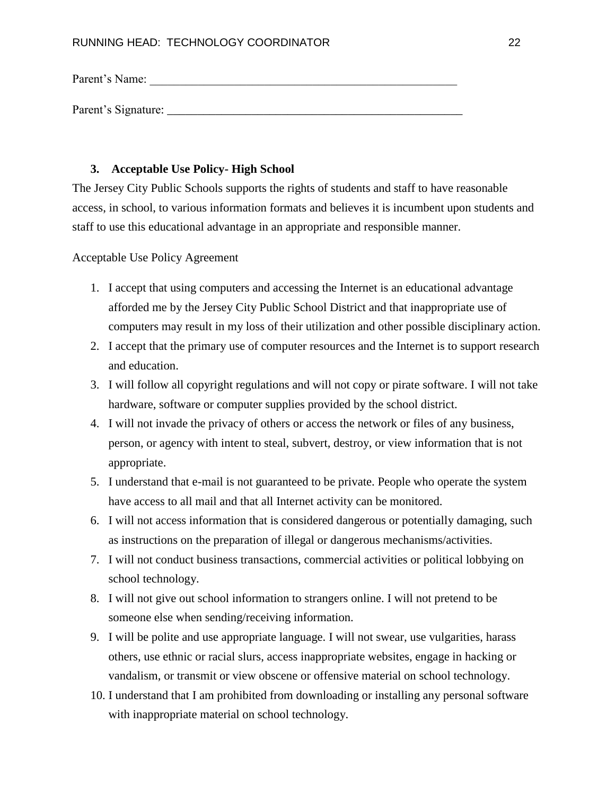Parent's Name:

Parent's Signature: \_\_\_\_\_\_\_\_\_\_\_\_\_\_\_\_\_\_\_\_\_\_\_\_\_\_\_\_\_\_\_\_\_\_\_\_\_\_\_\_\_\_\_\_\_\_\_\_\_

#### **3. Acceptable Use Policy- High School**

The Jersey City Public Schools supports the rights of students and staff to have reasonable access, in school, to various information formats and believes it is incumbent upon students and staff to use this educational advantage in an appropriate and responsible manner.

Acceptable Use Policy Agreement

- 1. I accept that using computers and accessing the Internet is an educational advantage afforded me by the Jersey City Public School District and that inappropriate use of computers may result in my loss of their utilization and other possible disciplinary action.
- 2. I accept that the primary use of computer resources and the Internet is to support research and education.
- 3. I will follow all copyright regulations and will not copy or pirate software. I will not take hardware, software or computer supplies provided by the school district.
- 4. I will not invade the privacy of others or access the network or files of any business, person, or agency with intent to steal, subvert, destroy, or view information that is not appropriate.
- 5. I understand that e-mail is not guaranteed to be private. People who operate the system have access to all mail and that all Internet activity can be monitored.
- 6. I will not access information that is considered dangerous or potentially damaging, such as instructions on the preparation of illegal or dangerous mechanisms/activities.
- 7. I will not conduct business transactions, commercial activities or political lobbying on school technology.
- 8. I will not give out school information to strangers online. I will not pretend to be someone else when sending/receiving information.
- 9. I will be polite and use appropriate language. I will not swear, use vulgarities, harass others, use ethnic or racial slurs, access inappropriate websites, engage in hacking or vandalism, or transmit or view obscene or offensive material on school technology.
- 10. I understand that I am prohibited from downloading or installing any personal software with inappropriate material on school technology.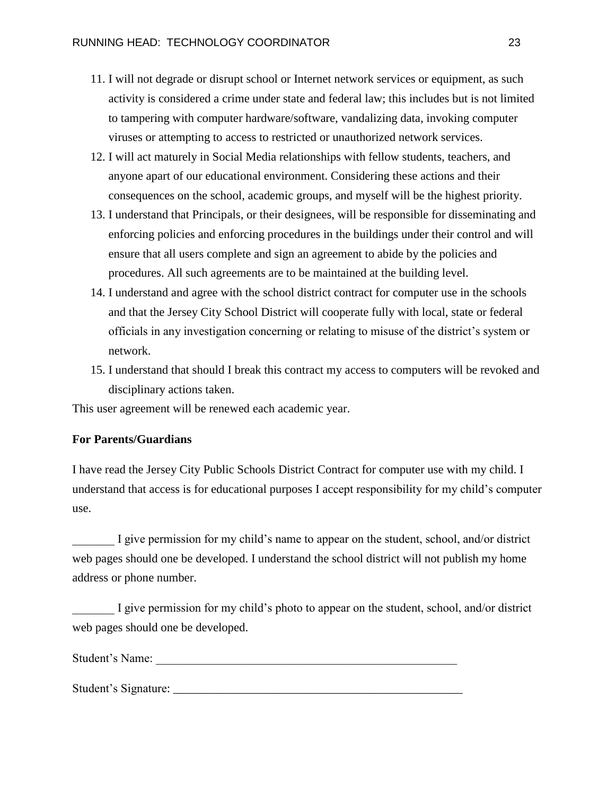- 11. I will not degrade or disrupt school or Internet network services or equipment, as such activity is considered a crime under state and federal law; this includes but is not limited to tampering with computer hardware/software, vandalizing data, invoking computer viruses or attempting to access to restricted or unauthorized network services.
- 12. I will act maturely in Social Media relationships with fellow students, teachers, and anyone apart of our educational environment. Considering these actions and their consequences on the school, academic groups, and myself will be the highest priority.
- 13. I understand that Principals, or their designees, will be responsible for disseminating and enforcing policies and enforcing procedures in the buildings under their control and will ensure that all users complete and sign an agreement to abide by the policies and procedures. All such agreements are to be maintained at the building level.
- 14. I understand and agree with the school district contract for computer use in the schools and that the Jersey City School District will cooperate fully with local, state or federal officials in any investigation concerning or relating to misuse of the district's system or network.
- 15. I understand that should I break this contract my access to computers will be revoked and disciplinary actions taken.

This user agreement will be renewed each academic year.

#### **For Parents/Guardians**

I have read the Jersey City Public Schools District Contract for computer use with my child. I understand that access is for educational purposes I accept responsibility for my child's computer use.

I give permission for my child's name to appear on the student, school, and/or district web pages should one be developed. I understand the school district will not publish my home address or phone number.

I give permission for my child's photo to appear on the student, school, and/or district web pages should one be developed.

Student's Name:

Student's Signature: \_\_\_\_\_\_\_\_\_\_\_\_\_\_\_\_\_\_\_\_\_\_\_\_\_\_\_\_\_\_\_\_\_\_\_\_\_\_\_\_\_\_\_\_\_\_\_\_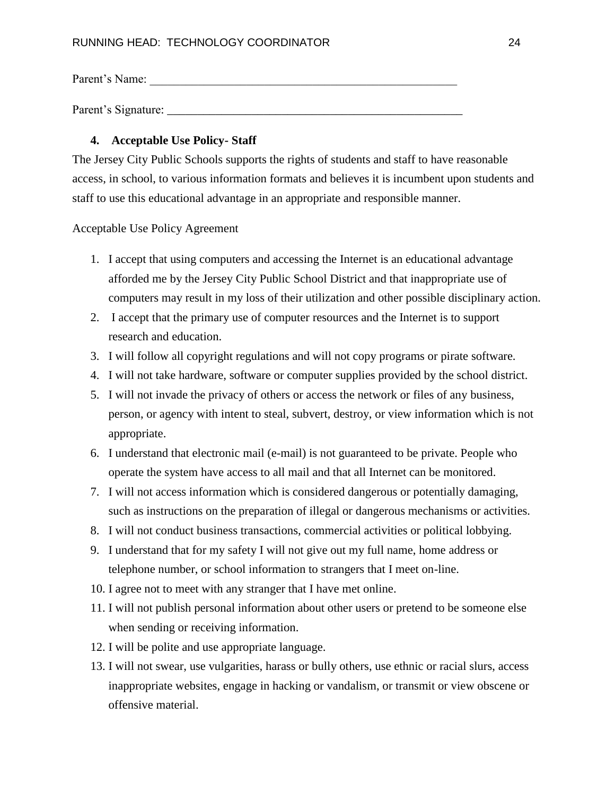Parent's Name:

Parent's Signature: \_\_\_\_\_\_\_\_\_\_\_\_\_\_\_\_\_\_\_\_\_\_\_\_\_\_\_\_\_\_\_\_\_\_\_\_\_\_\_\_\_\_\_\_\_\_\_\_\_

#### **4. Acceptable Use Policy- Staff**

The Jersey City Public Schools supports the rights of students and staff to have reasonable access, in school, to various information formats and believes it is incumbent upon students and staff to use this educational advantage in an appropriate and responsible manner.

#### Acceptable Use Policy Agreement

- 1. I accept that using computers and accessing the Internet is an educational advantage afforded me by the Jersey City Public School District and that inappropriate use of computers may result in my loss of their utilization and other possible disciplinary action.
- 2. I accept that the primary use of computer resources and the Internet is to support research and education.
- 3. I will follow all copyright regulations and will not copy programs or pirate software.
- 4. I will not take hardware, software or computer supplies provided by the school district.
- 5. I will not invade the privacy of others or access the network or files of any business, person, or agency with intent to steal, subvert, destroy, or view information which is not appropriate.
- 6. I understand that electronic mail (e-mail) is not guaranteed to be private. People who operate the system have access to all mail and that all Internet can be monitored.
- 7. I will not access information which is considered dangerous or potentially damaging, such as instructions on the preparation of illegal or dangerous mechanisms or activities.
- 8. I will not conduct business transactions, commercial activities or political lobbying.
- 9. I understand that for my safety I will not give out my full name, home address or telephone number, or school information to strangers that I meet on-line.
- 10. I agree not to meet with any stranger that I have met online.
- 11. I will not publish personal information about other users or pretend to be someone else when sending or receiving information.
- 12. I will be polite and use appropriate language.
- 13. I will not swear, use vulgarities, harass or bully others, use ethnic or racial slurs, access inappropriate websites, engage in hacking or vandalism, or transmit or view obscene or offensive material.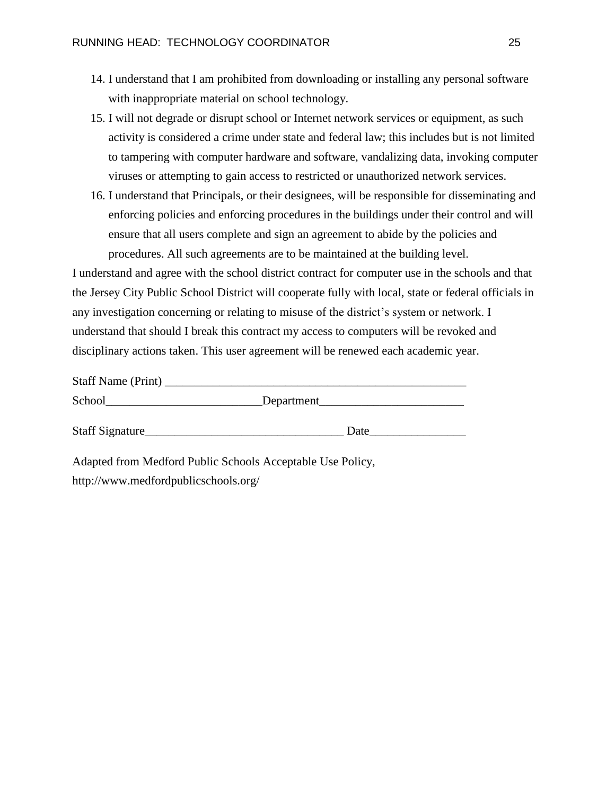- 14. I understand that I am prohibited from downloading or installing any personal software with inappropriate material on school technology.
- 15. I will not degrade or disrupt school or Internet network services or equipment, as such activity is considered a crime under state and federal law; this includes but is not limited to tampering with computer hardware and software, vandalizing data, invoking computer viruses or attempting to gain access to restricted or unauthorized network services.
- 16. I understand that Principals, or their designees, will be responsible for disseminating and enforcing policies and enforcing procedures in the buildings under their control and will ensure that all users complete and sign an agreement to abide by the policies and procedures. All such agreements are to be maintained at the building level.

I understand and agree with the school district contract for computer use in the schools and that the Jersey City Public School District will cooperate fully with local, state or federal officials in any investigation concerning or relating to misuse of the district's system or network. I understand that should I break this contract my access to computers will be revoked and disciplinary actions taken. This user agreement will be renewed each academic year.

| Staff Name (Print)                                         |            |
|------------------------------------------------------------|------------|
|                                                            | Department |
| Staff Signature                                            |            |
| Adapted from Medford Public Schools Acceptable Use Policy, |            |
| http://www.medfordpublicschools.org/                       |            |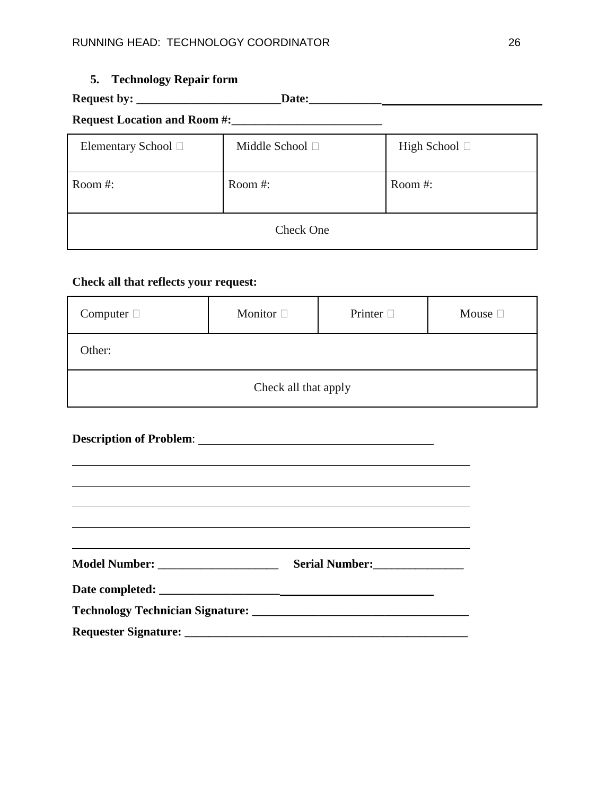## **5. Technology Repair form**

# **Request by: \_\_\_\_\_\_\_\_\_\_\_\_\_\_\_\_\_\_\_\_\_\_\_\_Date:\_\_\_\_\_\_\_\_\_\_\_\_**

## **Request Location and Room #:\_\_\_\_\_\_\_\_\_\_\_\_\_\_\_\_\_\_\_\_\_\_\_\_\_**

| Elementary School □ | Middle School □ | High School $\Box$ |  |
|---------------------|-----------------|--------------------|--|
| Room #:             | Room #:         | Room #:            |  |
| Check One           |                 |                    |  |

## **Check all that reflects your request:**

| Computer $\Box$      | Monitor $\square$ | Printer $\Box$ | Mouse $\square$ |
|----------------------|-------------------|----------------|-----------------|
| Other:               |                   |                |                 |
| Check all that apply |                   |                |                 |

| <u> 1999 - Andrea Santa Andrea Santa Andrea Santa Andrea Santa Andrea Santa Andrea Santa Andrea Santa Andrea San</u>                            |                |  |
|-------------------------------------------------------------------------------------------------------------------------------------------------|----------------|--|
|                                                                                                                                                 |                |  |
|                                                                                                                                                 |                |  |
|                                                                                                                                                 |                |  |
| ,我们也不能在这里的时候,我们也不能在这里的时候,我们也不能会不能会不能会不能会不能会不能会不能会不能会不能会不能会。<br>第2012章 我们的时候,我们的时候,我们的时候,我们的时候,我们的时候,我们的时候,我们的时候,我们的时候,我们的时候,我们的时候,我们的时候,我们的时候,我 |                |  |
|                                                                                                                                                 | Serial Number: |  |
|                                                                                                                                                 |                |  |
|                                                                                                                                                 |                |  |
|                                                                                                                                                 |                |  |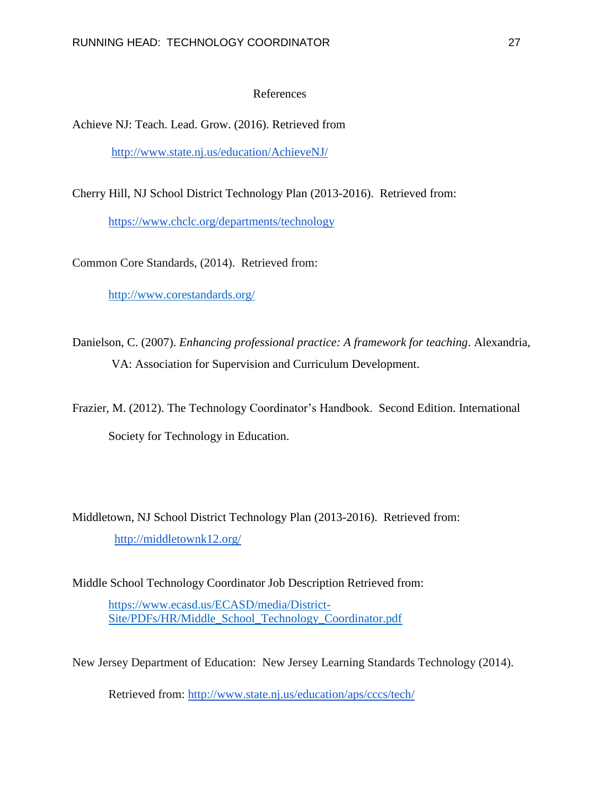#### References

Achieve NJ: Teach. Lead. Grow. (2016). Retrieved from

<http://www.state.nj.us/education/AchieveNJ/>

Cherry Hill, NJ School District Technology Plan (2013-2016). Retrieved from:

<https://www.chclc.org/departments/technology>

Common Core Standards, (2014). Retrieved from:

<http://www.corestandards.org/>

Danielson, C. (2007). *Enhancing professional practice: A framework for teaching*. Alexandria, VA: Association for Supervision and Curriculum Development.

Frazier, M. (2012). The Technology Coordinator's Handbook. Second Edition. International Society for Technology in Education.

Middletown, NJ School District Technology Plan (2013-2016). Retrieved from: <http://middletownk12.org/>

Middle School Technology Coordinator Job Description Retrieved from: [https://www.ecasd.us/ECASD/media/District-](https://www.ecasd.us/ECASD/media/District-Site/PDFs/HR/Middle_School_Technology_Coordinator.pdf)

[Site/PDFs/HR/Middle\\_School\\_Technology\\_Coordinator.pdf](https://www.ecasd.us/ECASD/media/District-Site/PDFs/HR/Middle_School_Technology_Coordinator.pdf)

New Jersey Department of Education: New Jersey Learning Standards Technology (2014).

Retrieved from:<http://www.state.nj.us/education/aps/cccs/tech/>